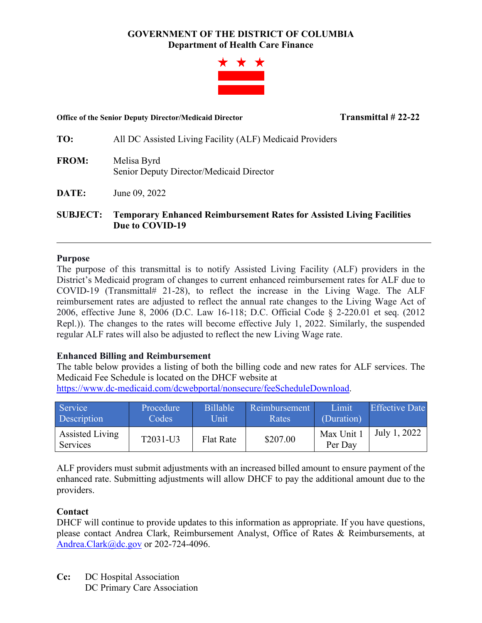# **GOVERNMENT OF THE DISTRICT OF COLUMBIA Department of Health Care Finance**



#### **Office of the Senior Deputy Director/Medicaid Director Transmittal # 22-22**

**TO:** All DC Assisted Living Facility (ALF) Medicaid Providers

- **FROM:** Melisa Byrd Senior Deputy Director/Medicaid Director
- **DATE:** June 09, 2022

**SUBJECT: Temporary Enhanced Reimbursement Rates for Assisted Living Facilities Due to COVID-19**

### **Purpose**

The purpose of this transmittal is to notify Assisted Living Facility (ALF) providers in the District's Medicaid program of changes to current enhanced reimbursement rates for ALF due to COVID-19 (Transmittal# 21-28), to reflect the increase in the Living Wage. The ALF reimbursement rates are adjusted to reflect the annual rate changes to the Living Wage Act of 2006, effective June 8, 2006 (D.C. Law 16-118; D.C. Official Code § 2-220.01 et seq. (2012 Repl.)). The changes to the rates will become effective July 1, 2022. Similarly, the suspended regular ALF rates will also be adjusted to reflect the new Living Wage rate.

## **Enhanced Billing and Reimbursement**

The table below provides a listing of both the billing code and new rates for ALF services. The Medicaid Fee Schedule is located on the DHCF website at

[https://www.dc-medicaid.com/dcwebportal/nonsecure/feeScheduleDownload.](https://www.dc-medicaid.com/dcwebportal/nonsecure/feeScheduleDownload)

| Service <sup>1</sup>        | Procedure | <b>Billable</b>  | Reimbursement | Limit                 | <b>Effective Date</b> |
|-----------------------------|-----------|------------------|---------------|-----------------------|-----------------------|
| Description                 | Codes     | Unit             | Rates         | (Duration)            |                       |
| Assisted Living<br>Services | T2031-U3  | <b>Flat Rate</b> | \$207.00      | Max Unit 1<br>Per Day | July 1, 2022          |

ALF providers must submit adjustments with an increased billed amount to ensure payment of the enhanced rate. Submitting adjustments will allow DHCF to pay the additional amount due to the providers.

## **Contact**

DHCF will continue to provide updates to this information as appropriate. If you have questions, please contact Andrea Clark, Reimbursement Analyst, Office of Rates & Reimbursements, at [Andrea.Clark@dc.gov](mailto:Andrea.Clark@dc.gov) or 202-724-4096.

**Cc:** DC Hospital Association DC Primary Care Association